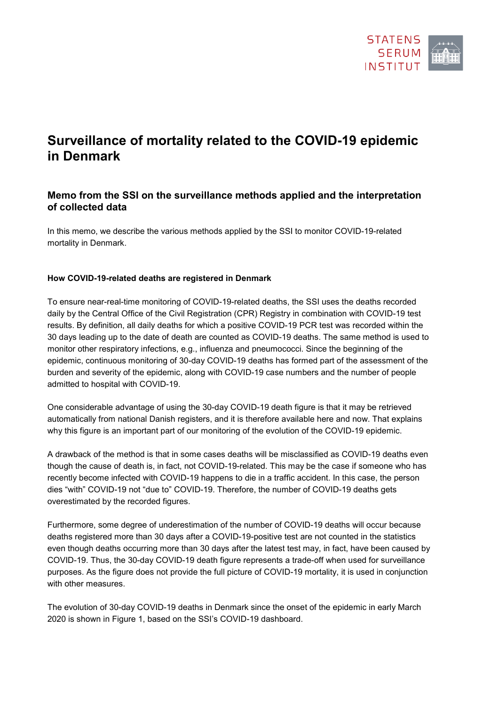

# **Surveillance of mortality related to the COVID-19 epidemic in Denmark**

## **Memo from the SSI on the surveillance methods applied and the interpretation of collected data**

In this memo, we describe the various methods applied by the SSI to monitor COVID-19-related mortality in Denmark.

### **How COVID-19-related deaths are registered in Denmark**

To ensure near-real-time monitoring of COVID-19-related deaths, the SSI uses the deaths recorded daily by the Central Office of the Civil Registration (CPR) Registry in combination with COVID-19 test results. By definition, all daily deaths for which a positive COVID-19 PCR test was recorded within the 30 days leading up to the date of death are counted as COVID-19 deaths. The same method is used to monitor other respiratory infections, e.g., influenza and pneumococci. Since the beginning of the epidemic, continuous monitoring of 30-day COVID-19 deaths has formed part of the assessment of the burden and severity of the epidemic, along with COVID-19 case numbers and the number of people admitted to hospital with COVID-19.

One considerable advantage of using the 30-day COVID-19 death figure is that it may be retrieved automatically from national Danish registers, and it is therefore available here and now. That explains why this figure is an important part of our monitoring of the evolution of the COVID-19 epidemic.

A drawback of the method is that in some cases deaths will be misclassified as COVID-19 deaths even though the cause of death is, in fact, not COVID-19-related. This may be the case if someone who has recently become infected with COVID-19 happens to die in a traffic accident. In this case, the person dies "with" COVID-19 not "due to" COVID-19. Therefore, the number of COVID-19 deaths gets overestimated by the recorded figures.

Furthermore, some degree of underestimation of the number of COVID-19 deaths will occur because deaths registered more than 30 days after a COVID-19-positive test are not counted in the statistics even though deaths occurring more than 30 days after the latest test may, in fact, have been caused by COVID-19. Thus, the 30-day COVID-19 death figure represents a trade-off when used for surveillance purposes. As the figure does not provide the full picture of COVID-19 mortality, it is used in conjunction with other measures.

The evolution of 30-day COVID-19 deaths in Denmark since the onset of the epidemic in early March 2020 is shown in Figure 1, based on the SSI's COVID-19 dashboard.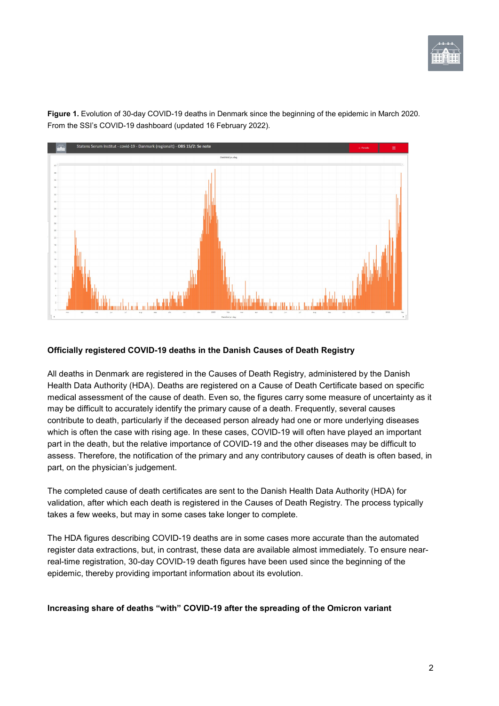



**Figure 1.** Evolution of 30-day COVID-19 deaths in Denmark since the beginning of the epidemic in March 2020. From the SSI's COVID-19 dashboard (updated 16 February 2022).

## **Officially registered COVID-19 deaths in the Danish Causes of Death Registry**

All deaths in Denmark are registered in the Causes of Death Registry, administered by the Danish Health Data Authority (HDA). Deaths are registered on a Cause of Death Certificate based on specific medical assessment of the cause of death. Even so, the figures carry some measure of uncertainty as it may be difficult to accurately identify the primary cause of a death. Frequently, several causes contribute to death, particularly if the deceased person already had one or more underlying diseases which is often the case with rising age. In these cases, COVID-19 will often have played an important part in the death, but the relative importance of COVID-19 and the other diseases may be difficult to assess. Therefore, the notification of the primary and any contributory causes of death is often based, in part, on the physician's judgement.

The completed cause of death certificates are sent to the Danish Health Data Authority (HDA) for validation, after which each death is registered in the Causes of Death Registry. The process typically takes a few weeks, but may in some cases take longer to complete.

The HDA figures describing COVID-19 deaths are in some cases more accurate than the automated register data extractions, but, in contrast, these data are available almost immediately. To ensure nearreal-time registration, 30-day COVID-19 death figures have been used since the beginning of the epidemic, thereby providing important information about its evolution.

**Increasing share of deaths "with" COVID-19 after the spreading of the Omicron variant**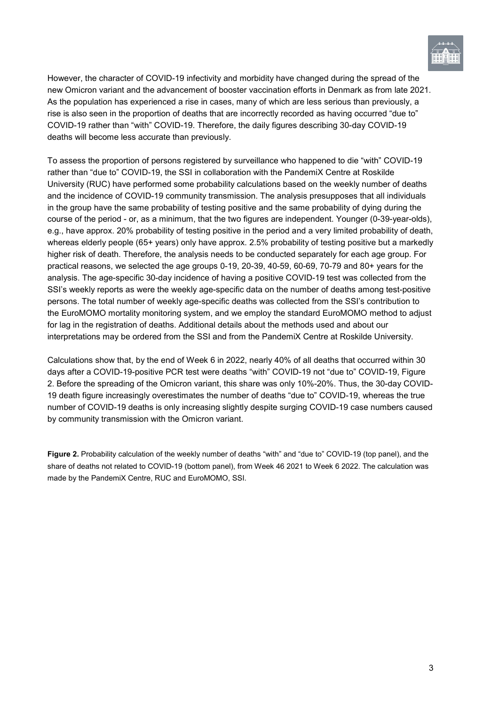

However, the character of COVID-19 infectivity and morbidity have changed during the spread of the new Omicron variant and the advancement of booster vaccination efforts in Denmark as from late 2021. As the population has experienced a rise in cases, many of which are less serious than previously, a rise is also seen in the proportion of deaths that are incorrectly recorded as having occurred "due to" COVID-19 rather than "with" COVID-19. Therefore, the daily figures describing 30-day COVID-19 deaths will become less accurate than previously.

To assess the proportion of persons registered by surveillance who happened to die "with" COVID-19 rather than "due to" COVID-19, the SSI in collaboration with the PandemiX Centre at Roskilde University (RUC) have performed some probability calculations based on the weekly number of deaths and the incidence of COVID-19 community transmission. The analysis presupposes that all individuals in the group have the same probability of testing positive and the same probability of dying during the course of the period - or, as a minimum, that the two figures are independent. Younger (0-39-year-olds), e.g., have approx. 20% probability of testing positive in the period and a very limited probability of death, whereas elderly people (65+ years) only have approx. 2.5% probability of testing positive but a markedly higher risk of death. Therefore, the analysis needs to be conducted separately for each age group. For practical reasons, we selected the age groups 0-19, 20-39, 40-59, 60-69, 70-79 and 80+ years for the analysis. The age-specific 30-day incidence of having a positive COVID-19 test was collected from the SSI's weekly reports as were the weekly age-specific data on the number of deaths among test-positive persons. The total number of weekly age-specific deaths was collected from the SSI's contribution to the EuroMOMO mortality monitoring system, and we employ the standard EuroMOMO method to adjust for lag in the registration of deaths. Additional details about the methods used and about our interpretations may be ordered from the SSI and from the PandemiX Centre at Roskilde University.

Calculations show that, by the end of Week 6 in 2022, nearly 40% of all deaths that occurred within 30 days after a COVID-19-positive PCR test were deaths "with" COVID-19 not "due to" COVID-19, Figure 2. Before the spreading of the Omicron variant, this share was only 10%-20%. Thus, the 30-day COVID-19 death figure increasingly overestimates the number of deaths "due to" COVID-19, whereas the true number of COVID-19 deaths is only increasing slightly despite surging COVID-19 case numbers caused by community transmission with the Omicron variant.

**Figure 2.** Probability calculation of the weekly number of deaths "with" and "due to" COVID-19 (top panel), and the share of deaths not related to COVID-19 (bottom panel), from Week 46 2021 to Week 6 2022. The calculation was made by the PandemiX Centre, RUC and EuroMOMO, SSI.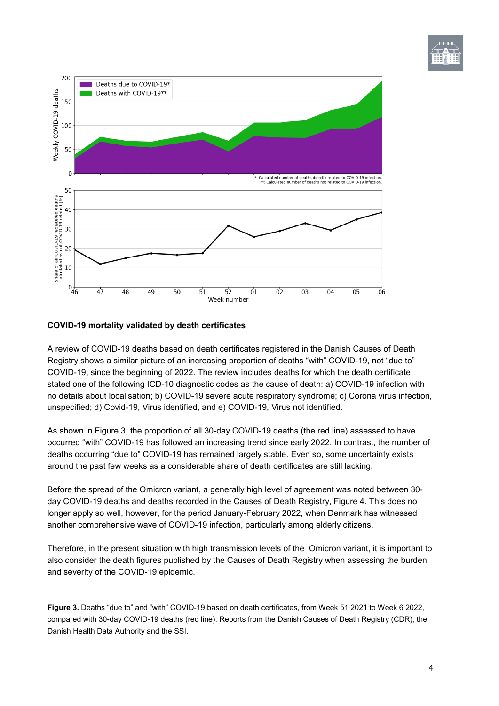



### **COVID-19 mortality validated by death certificates**

A review of COVID-19 deaths based on death certificates registered in the Danish Causes of Death Registry shows a similar picture of an increasing proportion of deaths "with" COVID-19, not "due to" COVID-19, since the beginning of 2022. The review includes deaths for which the death certificate stated one of the following ICD-10 diagnostic codes as the cause of death: a) COVID-19 infection with no details about localisation; b) COVID-19 severe acute respiratory syndrome; c) Corona virus infection, unspecified; d) Covid-19, Virus identified, and e) COVID-19, Virus not identified.

As shown in Figure 3, the proportion of all 30-day COVID-19 deaths (the red line) assessed to have occurred "with" COVID-19 has followed an increasing trend since early 2022. In contrast, the number of deaths occurring "due to" COVID-19 has remained largely stable. Even so, some uncertainty exists around the past few weeks as a considerable share of death certificates are still lacking.

Before the spread of the Omicron variant, a generally high level of agreement was noted between 30 day COVID-19 deaths and deaths recorded in the Causes of Death Registry, Figure 4. This does no longer apply so well, however, for the period January-February 2022, when Denmark has witnessed another comprehensive wave of COVID-19 infection, particularly among elderly citizens.

Therefore, in the present situation with high transmission levels of the Omicron variant, it is important to also consider the death figures published by the Causes of Death Registry when assessing the burden and severity of the COVID-19 epidemic.

**Figure 3.** Deaths "due to" and "with" COVID-19 based on death certificates, from Week 51 2021 to Week 6 2022, compared with 30-day COVID-19 deaths (red line). Reports from the Danish Causes of Death Registry (CDR), the Danish Health Data Authority and the SSI.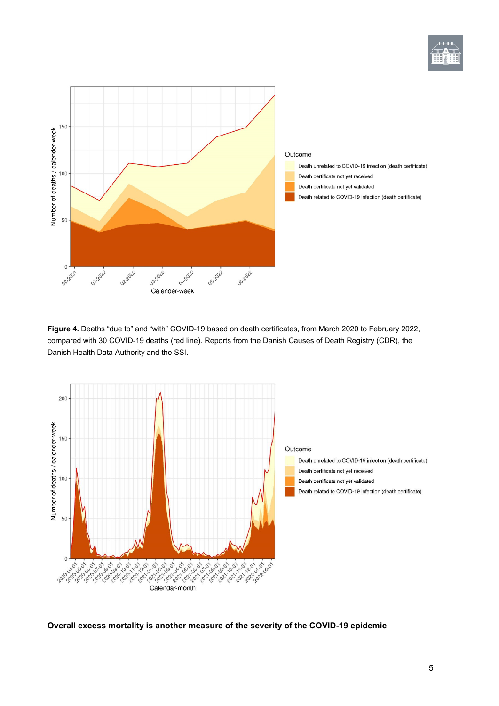



**Figure 4.** Deaths "due to" and "with" COVID-19 based on death certificates, from March 2020 to February 2022, compared with 30 COVID-19 deaths (red line). Reports from the Danish Causes of Death Registry (CDR), the Danish Health Data Authority and the SSI.



**Overall excess mortality is another measure of the severity of the COVID-19 epidemic**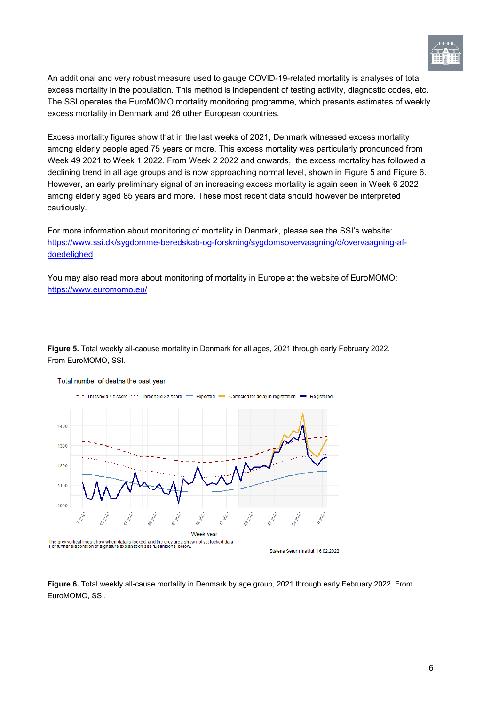

An additional and very robust measure used to gauge COVID-19-related mortality is analyses of total excess mortality in the population. This method is independent of testing activity, diagnostic codes, etc. The SSI operates the EuroMOMO mortality monitoring programme, which presents estimates of weekly excess mortality in Denmark and 26 other European countries.

Excess mortality figures show that in the last weeks of 2021, Denmark witnessed excess mortality among elderly people aged 75 years or more. This excess mortality was particularly pronounced from Week 49 2021 to Week 1 2022. From Week 2 2022 and onwards, the excess mortality has followed a declining trend in all age groups and is now approaching normal level, shown in Figure 5 and Figure 6. However, an early preliminary signal of an increasing excess mortality is again seen in Week 6 2022 among elderly aged 85 years and more. These most recent data should however be interpreted cautiously.

For more information about monitoring of mortality in Denmark, please see the SSI's website: [https://www.ssi.dk/sygdomme-beredskab-og-forskning/sygdomsovervaagning/d/overvaagning-af](https://www.ssi.dk/sygdomme-beredskab-og-forskning/sygdomsovervaagning/d/overvaagning-af-doedelighed)[doedelighed](https://www.ssi.dk/sygdomme-beredskab-og-forskning/sygdomsovervaagning/d/overvaagning-af-doedelighed)

You may also read more about monitoring of mortality in Europe at the website of EuroMOMO: <https://www.euromomo.eu/>

**Figure 5.** Total weekly all-caouse mortality in Denmark for all ages, 2021 through early February 2022. From EuroMOMO, SSI.



#### Total number of deaths the past year

**Figure 6.** Total weekly all-cause mortality in Denmark by age group, 2021 through early February 2022. From EuroMOMO, SSI.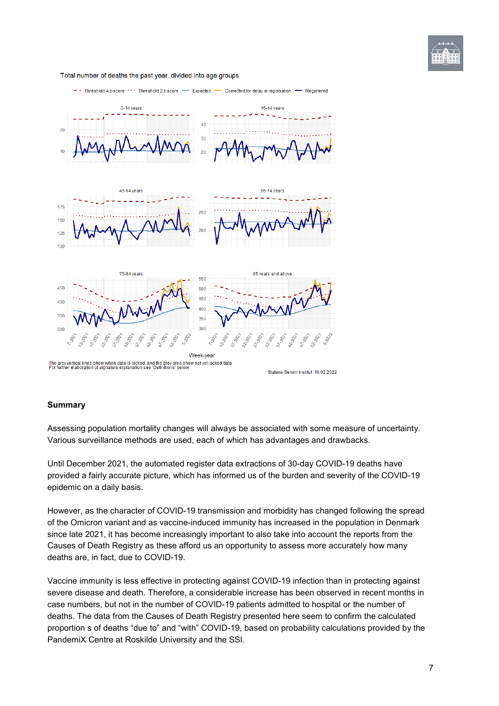

Total number of deaths the past year, divided into age groups



#### **Summary**

Assessing population mortality changes will always be associated with some measure of uncertainty. Various surveillance methods are used, each of which has advantages and drawbacks.

Until December 2021, the automated register data extractions of 30-day COVID-19 deaths have provided a fairly accurate picture, which has informed us of the burden and severity of the COVID-19 epidemic on a daily basis.

However, as the character of COVID-19 transmission and morbidity has changed following the spread of the Omicron variant and as vaccine-induced immunity has increased in the population in Denmark since late 2021, it has become increasingly important to also take into account the reports from the Causes of Death Registry as these afford us an opportunity to assess more accurately how many deaths are, in fact, due to COVID-19.

Vaccine immunity is less effective in protecting against COVID-19 infection than in protecting against severe disease and death. Therefore, a considerable increase has been observed in recent months in case numbers, but not in the number of COVID-19 patients admitted to hospital or the number of deaths. The data from the Causes of Death Registry presented here seem to confirm the calculated proportion s of deaths "due to" and "with" COVID-19, based on probability calculations provided by the PandemiX Centre at Roskilde University and the SSI.